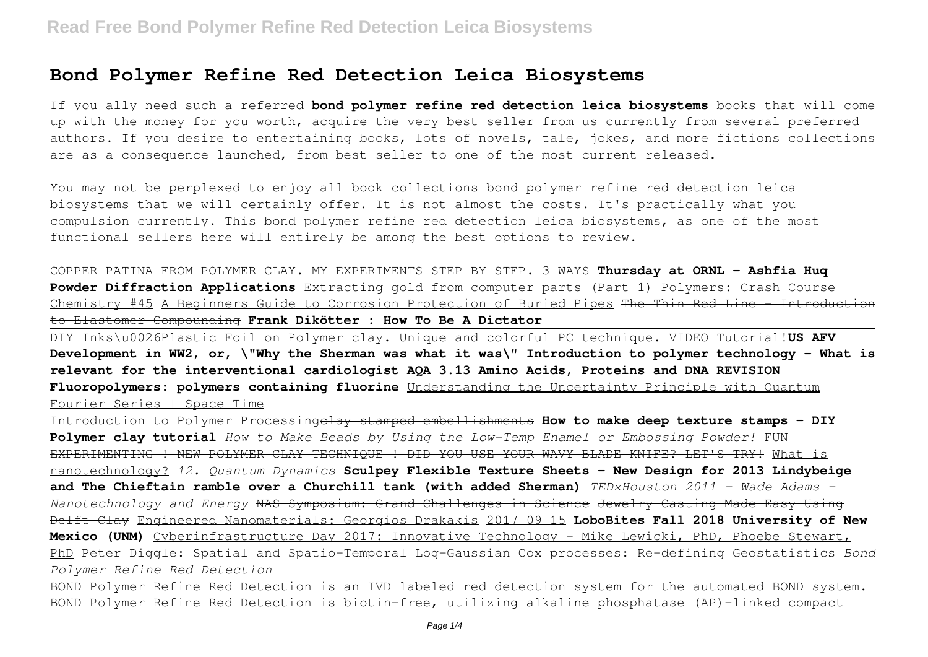## **Bond Polymer Refine Red Detection Leica Biosystems**

If you ally need such a referred **bond polymer refine red detection leica biosystems** books that will come up with the money for you worth, acquire the very best seller from us currently from several preferred authors. If you desire to entertaining books, lots of novels, tale, jokes, and more fictions collections are as a consequence launched, from best seller to one of the most current released.

You may not be perplexed to enjoy all book collections bond polymer refine red detection leica biosystems that we will certainly offer. It is not almost the costs. It's practically what you compulsion currently. This bond polymer refine red detection leica biosystems, as one of the most functional sellers here will entirely be among the best options to review.

COPPER PATINA FROM POLYMER CLAY. MY EXPERIMENTS STEP BY STEP. 3 WAYS **Thursday at ORNL - Ashfia Huq Powder Diffraction Applications** Extracting gold from computer parts (Part 1) Polymers: Crash Course Chemistry #45 A Beginners Guide to Corrosion Protection of Buried Pipes The Thin Red Line - Introduction to Elastomer Compounding **Frank Dikötter : How To Be A Dictator**

DIY Inks\u0026Plastic Foil on Polymer clay. Unique and colorful PC technique. VIDEO Tutorial!**US AFV Development in WW2, or, \"Why the Sherman was what it was\" Introduction to polymer technology - What is relevant for the interventional cardiologist AQA 3.13 Amino Acids, Proteins and DNA REVISION Fluoropolymers: polymers containing fluorine** Understanding the Uncertainty Principle with Quantum Fourier Series | Space Time

Introduction to Polymer Processingclay stamped embellishments **How to make deep texture stamps - DIY Polymer clay tutorial** *How to Make Beads by Using the Low-Temp Enamel or Embossing Powder!* FUN EXPERIMENTING ! NEW POLYMER CLAY TECHNIOUE ! DID YOU USE YOUR WAVY BLADE KNIFE? LET'S TRY! What is nanotechnology? *12. Quantum Dynamics* **Sculpey Flexible Texture Sheets - New Design for 2013 Lindybeige and The Chieftain ramble over a Churchill tank (with added Sherman)** *TEDxHouston 2011 - Wade Adams - Nanotechnology and Energy* NAS Symposium: Grand Challenges in Science Jewelry Casting Made Easy Using Delft Clay Engineered Nanomaterials: Georgios Drakakis 2017 09 15 **LoboBites Fall 2018 University of New Mexico (UNM)** Cyberinfrastructure Day 2017: Innovative Technology - Mike Lewicki, PhD, Phoebe Stewart, PhD Peter Diggle: Spatial and Spatio-Temporal Log-Gaussian Cox processes: Re-defining Geostatistics *Bond Polymer Refine Red Detection*

BOND Polymer Refine Red Detection is an IVD labeled red detection system for the automated BOND system. BOND Polymer Refine Red Detection is biotin-free, utilizing alkaline phosphatase (AP)-linked compact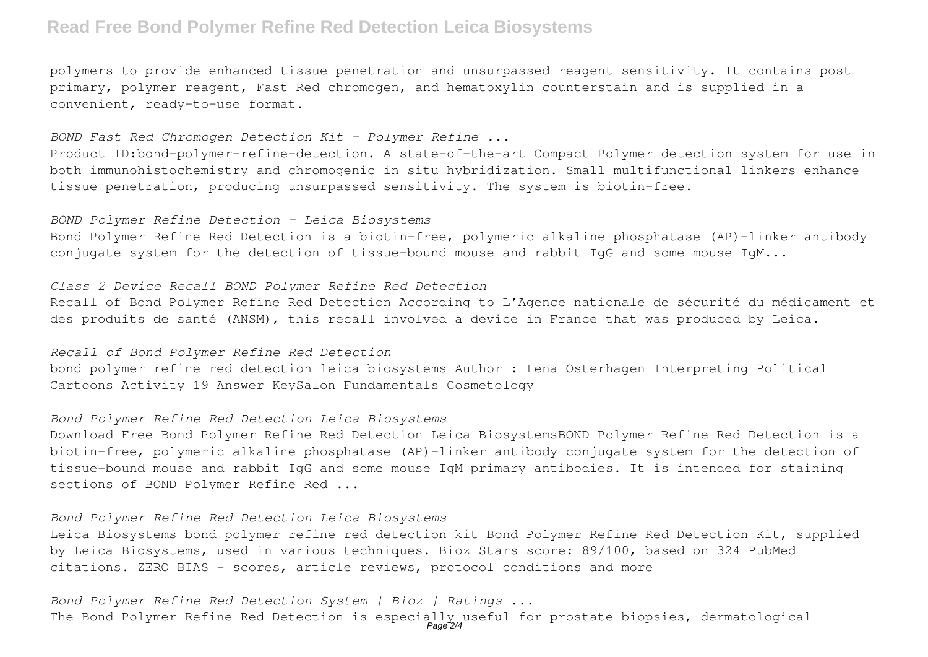## **Read Free Bond Polymer Refine Red Detection Leica Biosystems**

polymers to provide enhanced tissue penetration and unsurpassed reagent sensitivity. It contains post primary, polymer reagent, Fast Red chromogen, and hematoxylin counterstain and is supplied in a convenient, ready-to-use format.

*BOND Fast Red Chromogen Detection Kit - Polymer Refine ...*

Product ID:bond-polymer-refine-detection. A state-of-the-art Compact Polymer detection system for use in both immunohistochemistry and chromogenic in situ hybridization. Small multifunctional linkers enhance tissue penetration, producing unsurpassed sensitivity. The system is biotin-free.

#### *BOND Polymer Refine Detection - Leica Biosystems*

Bond Polymer Refine Red Detection is a biotin-free, polymeric alkaline phosphatase (AP)-linker antibody conjugate system for the detection of tissue-bound mouse and rabbit IgG and some mouse IgM...

#### *Class 2 Device Recall BOND Polymer Refine Red Detection*

Recall of Bond Polymer Refine Red Detection According to L'Agence nationale de sécurité du médicament et des produits de santé (ANSM), this recall involved a device in France that was produced by Leica.

#### *Recall of Bond Polymer Refine Red Detection*

bond polymer refine red detection leica biosystems Author : Lena Osterhagen Interpreting Political Cartoons Activity 19 Answer KeySalon Fundamentals Cosmetology

### *Bond Polymer Refine Red Detection Leica Biosystems*

Download Free Bond Polymer Refine Red Detection Leica BiosystemsBOND Polymer Refine Red Detection is a biotin-free, polymeric alkaline phosphatase (AP)-linker antibody conjugate system for the detection of tissue-bound mouse and rabbit IgG and some mouse IgM primary antibodies. It is intended for staining sections of BOND Polymer Refine Red ...

## *Bond Polymer Refine Red Detection Leica Biosystems*

Leica Biosystems bond polymer refine red detection kit Bond Polymer Refine Red Detection Kit, supplied by Leica Biosystems, used in various techniques. Bioz Stars score: 89/100, based on 324 PubMed citations. ZERO BIAS - scores, article reviews, protocol conditions and more

*Bond Polymer Refine Red Detection System | Bioz | Ratings ...* The Bond Polymer Refine Red Detection is especially useful for prostate biopsies, dermatological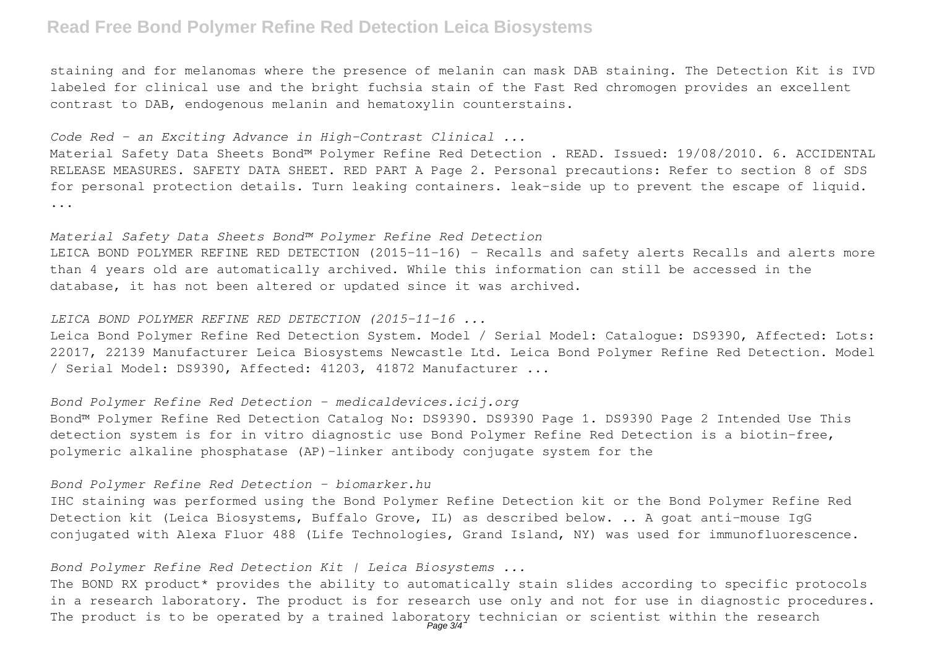## **Read Free Bond Polymer Refine Red Detection Leica Biosystems**

staining and for melanomas where the presence of melanin can mask DAB staining. The Detection Kit is IVD labeled for clinical use and the bright fuchsia stain of the Fast Red chromogen provides an excellent contrast to DAB, endogenous melanin and hematoxylin counterstains.

*Code Red – an Exciting Advance in High-Contrast Clinical ...*

Material Safety Data Sheets Bond™ Polymer Refine Red Detection . READ. Issued: 19/08/2010. 6. ACCIDENTAL RELEASE MEASURES. SAFETY DATA SHEET. RED PART A Page 2. Personal precautions: Refer to section 8 of SDS for personal protection details. Turn leaking containers. leak-side up to prevent the escape of liquid. ...

#### *Material Safety Data Sheets Bond™ Polymer Refine Red Detection*

LEICA BOND POLYMER REFINE RED DETECTION (2015-11-16) - Recalls and safety alerts Recalls and alerts more than 4 years old are automatically archived. While this information can still be accessed in the database, it has not been altered or updated since it was archived.

## *LEICA BOND POLYMER REFINE RED DETECTION (2015-11-16 ...*

Leica Bond Polymer Refine Red Detection System. Model / Serial Model: Catalogue: DS9390, Affected: Lots: 22017, 22139 Manufacturer Leica Biosystems Newcastle Ltd. Leica Bond Polymer Refine Red Detection. Model / Serial Model: DS9390, Affected: 41203, 41872 Manufacturer ...

### *Bond Polymer Refine Red Detection - medicaldevices.icij.org*

Bond™ Polymer Refine Red Detection Catalog No: DS9390. DS9390 Page 1. DS9390 Page 2 Intended Use This detection system is for in vitro diagnostic use Bond Polymer Refine Red Detection is a biotin-free, polymeric alkaline phosphatase (AP)-linker antibody conjugate system for the

### *Bond Polymer Refine Red Detection - biomarker.hu*

IHC staining was performed using the Bond Polymer Refine Detection kit or the Bond Polymer Refine Red Detection kit (Leica Biosystems, Buffalo Grove, IL) as described below. .. A goat anti-mouse IgG conjugated with Alexa Fluor 488 (Life Technologies, Grand Island, NY) was used for immunofluorescence.

## *Bond Polymer Refine Red Detection Kit | Leica Biosystems ...*

The BOND RX product\* provides the ability to automatically stain slides according to specific protocols in a research laboratory. The product is for research use only and not for use in diagnostic procedures. The product is to be operated by a trained laboratory technician or scientist within the research